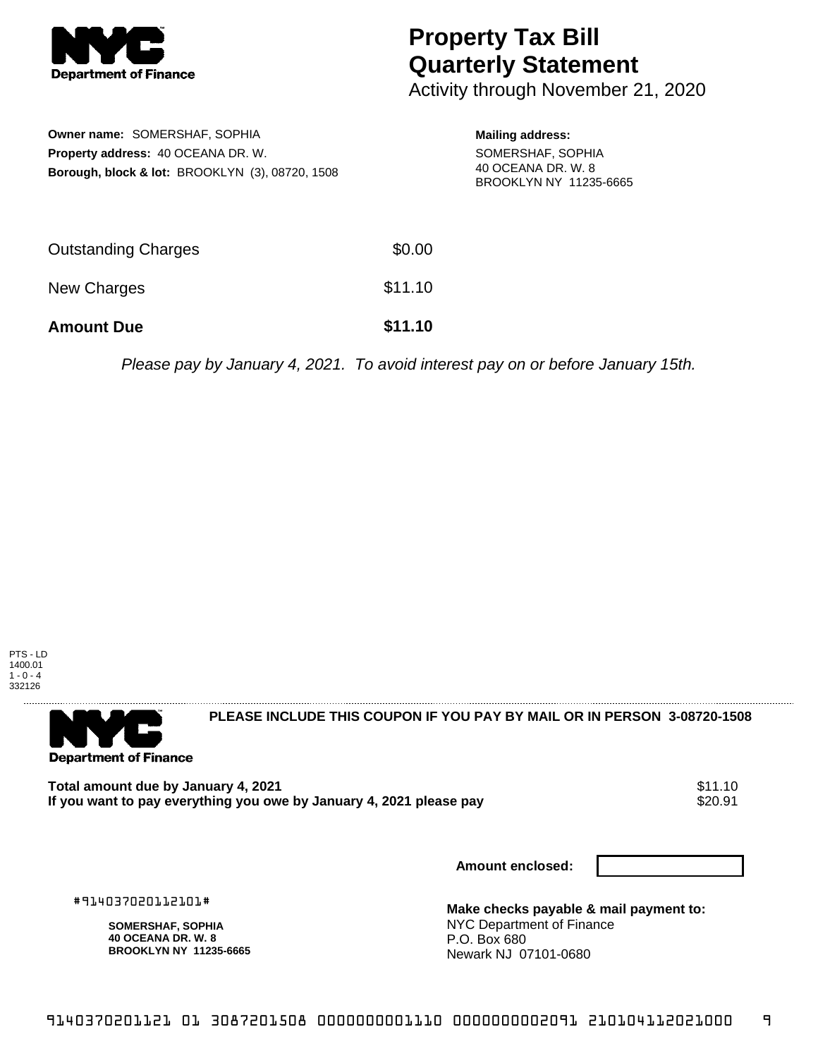

## **Property Tax Bill Quarterly Statement**

Activity through November 21, 2020

| Owner name: SOMERSHAF, SOPHIA<br><b>Property address: 40 OCEANA DR. W.</b><br><b>Borough, block &amp; lot: BROOKLYN (3), 08720, 1508</b> |         | <b>Mailing address:</b><br>SOMERSHAF, SOPHIA<br>40 OCEANA DR. W. 8<br>BROOKLYN NY 11235-6665 |  |
|------------------------------------------------------------------------------------------------------------------------------------------|---------|----------------------------------------------------------------------------------------------|--|
| <b>Outstanding Charges</b>                                                                                                               | \$0.00  |                                                                                              |  |
| <b>New Charges</b>                                                                                                                       | \$11.10 |                                                                                              |  |

**Amount Due \$11.10**

Please pay by January 4, 2021. To avoid interest pay on or before January 15th.



. . . . . . . . . . . . . . . .

**PLEASE INCLUDE THIS COUPON IF YOU PAY BY MAIL OR IN PERSON 3-08720-1508** 

**Department of Finance** 

Total amount due by January 4, 2021<br>If you want to pay everything you owe by January 4, 2021 please pay **show that the same of the sease of the s**20.91 If you want to pay everything you owe by January 4, 2021 please pay

**Amount enclosed:**

#914037020112101#

**SOMERSHAF, SOPHIA 40 OCEANA DR. W. 8 BROOKLYN NY 11235-6665** **Make checks payable & mail payment to:** NYC Department of Finance P.O. Box 680 Newark NJ 07101-0680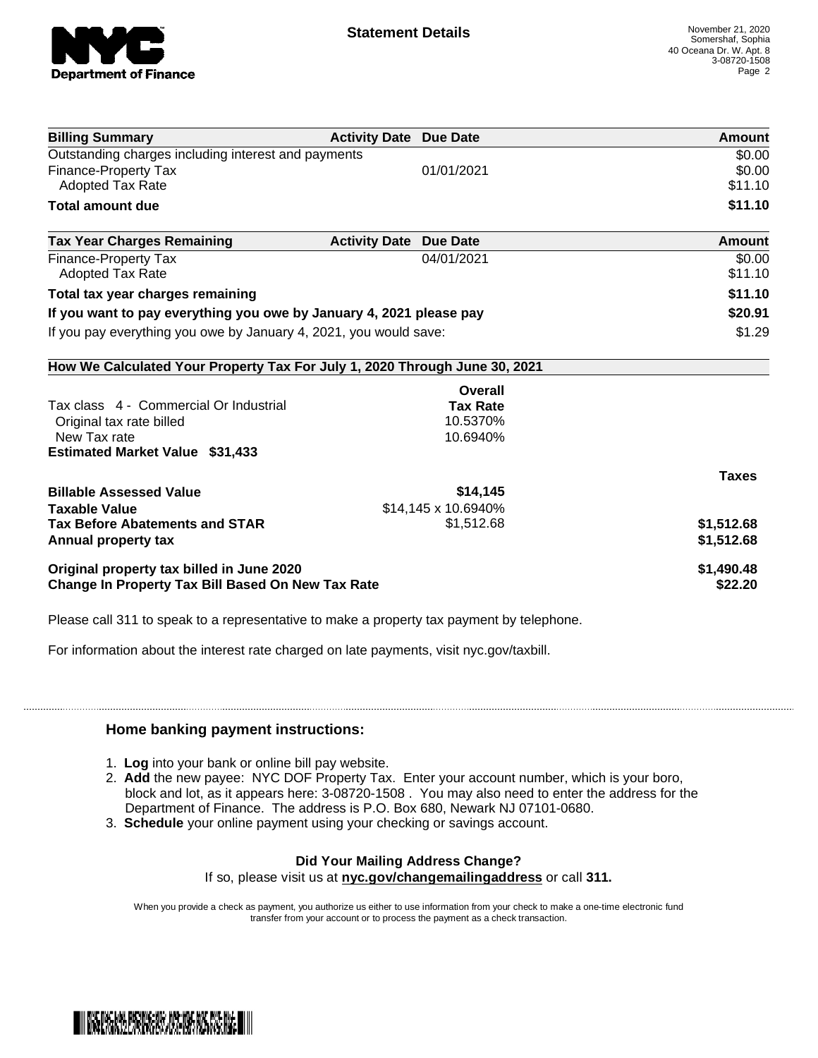

| <b>Billing Summary</b>                                                     | <b>Activity Date Due Date</b> |                     | Amount       |
|----------------------------------------------------------------------------|-------------------------------|---------------------|--------------|
| Outstanding charges including interest and payments                        |                               |                     | \$0.00       |
| <b>Finance-Property Tax</b>                                                |                               | 01/01/2021          | \$0.00       |
| <b>Adopted Tax Rate</b>                                                    |                               |                     | \$11.10      |
| <b>Total amount due</b>                                                    |                               |                     | \$11.10      |
| <b>Tax Year Charges Remaining</b>                                          | <b>Activity Date</b>          | Due Date            | Amount       |
| <b>Finance-Property Tax</b>                                                |                               | 04/01/2021          | \$0.00       |
| <b>Adopted Tax Rate</b>                                                    |                               |                     | \$11.10      |
| Total tax year charges remaining                                           |                               |                     | \$11.10      |
| If you want to pay everything you owe by January 4, 2021 please pay        |                               |                     | \$20.91      |
| If you pay everything you owe by January 4, 2021, you would save:          |                               |                     | \$1.29       |
| How We Calculated Your Property Tax For July 1, 2020 Through June 30, 2021 |                               |                     |              |
|                                                                            |                               | Overall             |              |
| Tax class 4 - Commercial Or Industrial                                     |                               | <b>Tax Rate</b>     |              |
| Original tax rate billed                                                   |                               | 10.5370%            |              |
| New Tax rate                                                               |                               | 10.6940%            |              |
| <b>Estimated Market Value \$31,433</b>                                     |                               |                     |              |
|                                                                            |                               |                     | <b>Taxes</b> |
| <b>Billable Assessed Value</b>                                             |                               | \$14,145            |              |
| <b>Taxable Value</b>                                                       |                               | \$14,145 x 10.6940% |              |
| <b>Tax Before Abatements and STAR</b>                                      |                               | \$1,512.68          | \$1,512.68   |
| Annual property tax                                                        |                               |                     | \$1,512.68   |
| Original property tax billed in June 2020                                  |                               |                     | \$1,490.48   |
| Change In Property Tax Bill Based On New Tax Rate                          |                               |                     | \$22.20      |

Please call 311 to speak to a representative to make a property tax payment by telephone.

For information about the interest rate charged on late payments, visit nyc.gov/taxbill.

## **Home banking payment instructions:**

- 1. **Log** into your bank or online bill pay website.
- 2. **Add** the new payee: NYC DOF Property Tax. Enter your account number, which is your boro, block and lot, as it appears here: 3-08720-1508 . You may also need to enter the address for the Department of Finance. The address is P.O. Box 680, Newark NJ 07101-0680.
- 3. **Schedule** your online payment using your checking or savings account.

## **Did Your Mailing Address Change?**

If so, please visit us at **nyc.gov/changemailingaddress** or call **311.**

When you provide a check as payment, you authorize us either to use information from your check to make a one-time electronic fund transfer from your account or to process the payment as a check transaction.